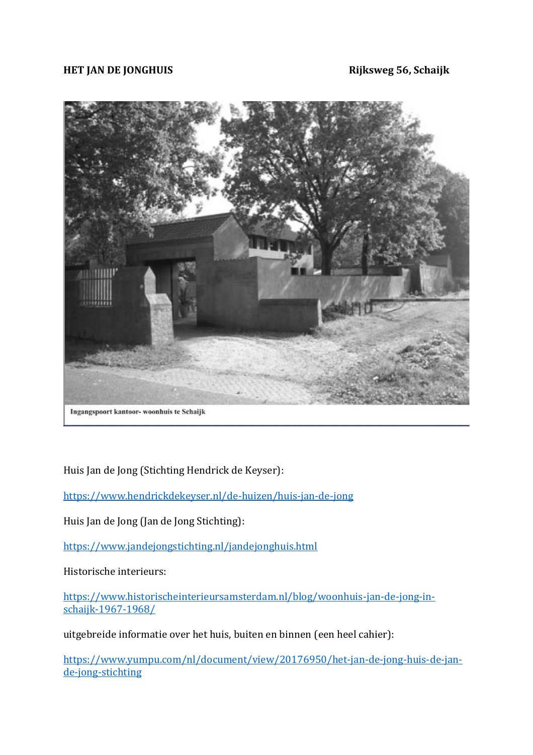#### **HET JAN DE JONGHUIS Rijksweg 56, Schaijk**



Ingangspoort kantoor- woonhuis te Schaijk

Huis Jan de Jong (Stichting Hendrick de Keyser):

<https://www.hendrickdekeyser.nl/de-huizen/huis-jan-de-jong>

Huis Jan de Jong (Jan de Jong Stichting):

<https://www.jandejongstichting.nl/jandejonghuis.html>

Historische interieurs:

[https://www.historischeinterieursamsterdam.nl/blog/woonhuis-jan-de-jong-in](https://www.historischeinterieursamsterdam.nl/blog/woonhuis-jan-de-jong-in-schaijk-1967-1968/)[schaijk-1967-1968/](https://www.historischeinterieursamsterdam.nl/blog/woonhuis-jan-de-jong-in-schaijk-1967-1968/)

uitgebreide informatie over het huis, buiten en binnen (een heel cahier):

[https://www.yumpu.com/nl/document/view/20176950/het-jan-de-jong-huis-de-jan](https://www.yumpu.com/nl/document/view/20176950/het-jan-de-jong-huis-de-jan-de-jong-stichting)[de-jong-stichting](https://www.yumpu.com/nl/document/view/20176950/het-jan-de-jong-huis-de-jan-de-jong-stichting)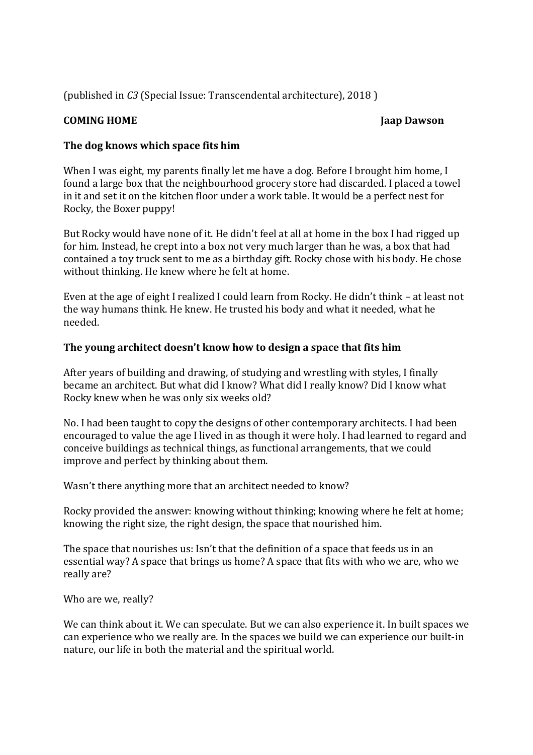(published in *C3* (Special Issue: Transcendental architecture), 2018 )

## **COMING HOME** Jaap Dawson **Jaap Dawson**

## **The dog knows which space fits him**

When I was eight, my parents finally let me have a dog. Before I brought him home, I found a large box that the neighbourhood grocery store had discarded. I placed a towel in it and set it on the kitchen floor under a work table. It would be a perfect nest for Rocky, the Boxer puppy!

But Rocky would have none of it. He didn't feel at all at home in the box I had rigged up for him. Instead, he crept into a box not very much larger than he was, a box that had contained a toy truck sent to me as a birthday gift. Rocky chose with his body. He chose without thinking. He knew where he felt at home.

Even at the age of eight I realized I could learn from Rocky. He didn't think – at least not the way humans think. He knew. He trusted his body and what it needed, what he needed.

### **The young architect doesn't know how to design a space that fits him**

After years of building and drawing, of studying and wrestling with styles, I finally became an architect. But what did I know? What did I really know? Did I know what Rocky knew when he was only six weeks old?

No. I had been taught to copy the designs of other contemporary architects. I had been encouraged to value the age I lived in as though it were holy. I had learned to regard and conceive buildings as technical things, as functional arrangements, that we could improve and perfect by thinking about them.

Wasn't there anything more that an architect needed to know?

Rocky provided the answer: knowing without thinking; knowing where he felt at home; knowing the right size, the right design, the space that nourished him.

The space that nourishes us: Isn't that the definition of a space that feeds us in an essential way? A space that brings us home? A space that fits with who we are, who we really are?

Who are we, really?

We can think about it. We can speculate. But we can also experience it. In built spaces we can experience who we really are. In the spaces we build we can experience our built-in nature, our life in both the material and the spiritual world.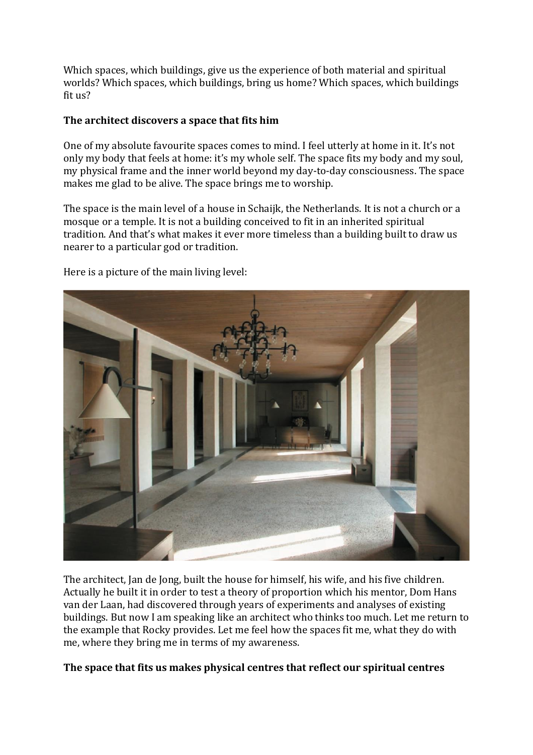Which spaces, which buildings, give us the experience of both material and spiritual worlds? Which spaces, which buildings, bring us home? Which spaces, which buildings fit us?

# **The architect discovers a space that fits him**

One of my absolute favourite spaces comes to mind. I feel utterly at home in it. It's not only my body that feels at home: it's my whole self. The space fits my body and my soul, my physical frame and the inner world beyond my day-to-day consciousness. The space makes me glad to be alive. The space brings me to worship.

The space is the main level of a house in Schaijk, the Netherlands. It is not a church or a mosque or a temple. It is not a building conceived to fit in an inherited spiritual tradition. And that's what makes it ever more timeless than a building built to draw us nearer to a particular god or tradition.



Here is a picture of the main living level:

The architect, Jan de Jong, built the house for himself, his wife, and his five children. Actually he built it in order to test a theory of proportion which his mentor, Dom Hans van der Laan, had discovered through years of experiments and analyses of existing buildings. But now I am speaking like an architect who thinks too much. Let me return to the example that Rocky provides. Let me feel how the spaces fit me, what they do with me, where they bring me in terms of my awareness.

### **The space that fits us makes physical centres that reflect our spiritual centres**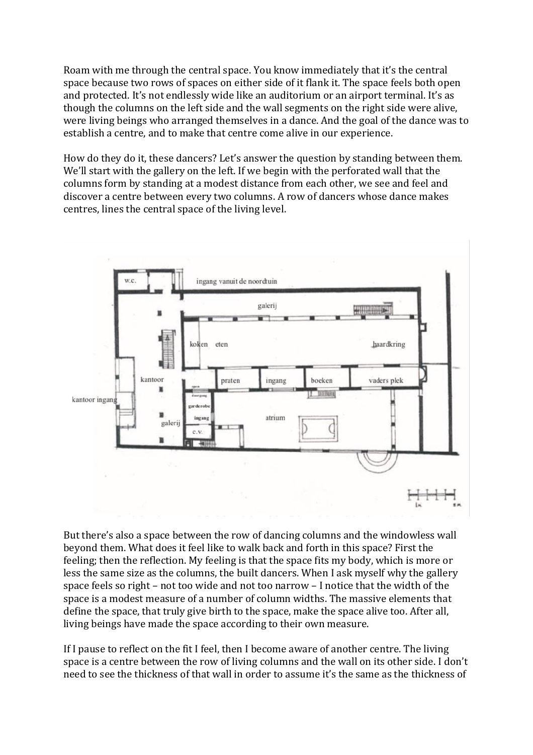Roam with me through the central space. You know immediately that it's the central space because two rows of spaces on either side of it flank it. The space feels both open and protected. It's not endlessly wide like an auditorium or an airport terminal. It's as though the columns on the left side and the wall segments on the right side were alive, were living beings who arranged themselves in a dance. And the goal of the dance was to establish a centre, and to make that centre come alive in our experience.

How do they do it, these dancers? Let's answer the question by standing between them. We'll start with the gallery on the left. If we begin with the perforated wall that the columns form by standing at a modest distance from each other, we see and feel and discover a centre between every two columns. A row of dancers whose dance makes centres, lines the central space of the living level.



But there's also a space between the row of dancing columns and the windowless wall beyond them. What does it feel like to walk back and forth in this space? First the feeling; then the reflection. My feeling is that the space fits my body, which is more or less the same size as the columns, the built dancers. When I ask myself why the gallery space feels so right – not too wide and not too narrow – I notice that the width of the space is a modest measure of a number of column widths. The massive elements that define the space, that truly give birth to the space, make the space alive too. After all, living beings have made the space according to their own measure.

If I pause to reflect on the fit I feel, then I become aware of another centre. The living space is a centre between the row of living columns and the wall on its other side. I don't need to see the thickness of that wall in order to assume it's the same as the thickness of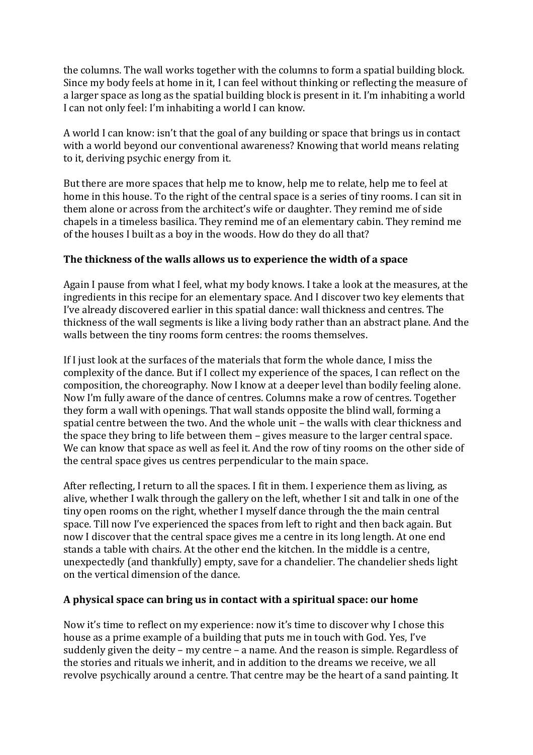the columns. The wall works together with the columns to form a spatial building block. Since my body feels at home in it, I can feel without thinking or reflecting the measure of a larger space as long as the spatial building block is present in it. I'm inhabiting a world I can not only feel: I'm inhabiting a world I can know.

A world I can know: isn't that the goal of any building or space that brings us in contact with a world beyond our conventional awareness? Knowing that world means relating to it, deriving psychic energy from it.

But there are more spaces that help me to know, help me to relate, help me to feel at home in this house. To the right of the central space is a series of tiny rooms. I can sit in them alone or across from the architect's wife or daughter. They remind me of side chapels in a timeless basilica. They remind me of an elementary cabin. They remind me of the houses I built as a boy in the woods. How do they do all that?

### **The thickness of the walls allows us to experience the width of a space**

Again I pause from what I feel, what my body knows. I take a look at the measures, at the ingredients in this recipe for an elementary space. And I discover two key elements that I've already discovered earlier in this spatial dance: wall thickness and centres. The thickness of the wall segments is like a living body rather than an abstract plane. And the walls between the tiny rooms form centres: the rooms themselves.

If I just look at the surfaces of the materials that form the whole dance, I miss the complexity of the dance. But if I collect my experience of the spaces, I can reflect on the composition, the choreography. Now I know at a deeper level than bodily feeling alone. Now I'm fully aware of the dance of centres. Columns make a row of centres. Together they form a wall with openings. That wall stands opposite the blind wall, forming a spatial centre between the two. And the whole unit – the walls with clear thickness and the space they bring to life between them – gives measure to the larger central space. We can know that space as well as feel it. And the row of tiny rooms on the other side of the central space gives us centres perpendicular to the main space.

After reflecting, I return to all the spaces. I fit in them. I experience them as living, as alive, whether I walk through the gallery on the left, whether I sit and talk in one of the tiny open rooms on the right, whether I myself dance through the the main central space. Till now I've experienced the spaces from left to right and then back again. But now I discover that the central space gives me a centre in its long length. At one end stands a table with chairs. At the other end the kitchen. In the middle is a centre, unexpectedly (and thankfully) empty, save for a chandelier. The chandelier sheds light on the vertical dimension of the dance.

### **A physical space can bring us in contact with a spiritual space: our home**

Now it's time to reflect on my experience: now it's time to discover why I chose this house as a prime example of a building that puts me in touch with God. Yes, I've suddenly given the deity – my centre – a name. And the reason is simple. Regardless of the stories and rituals we inherit, and in addition to the dreams we receive, we all revolve psychically around a centre. That centre may be the heart of a sand painting. It